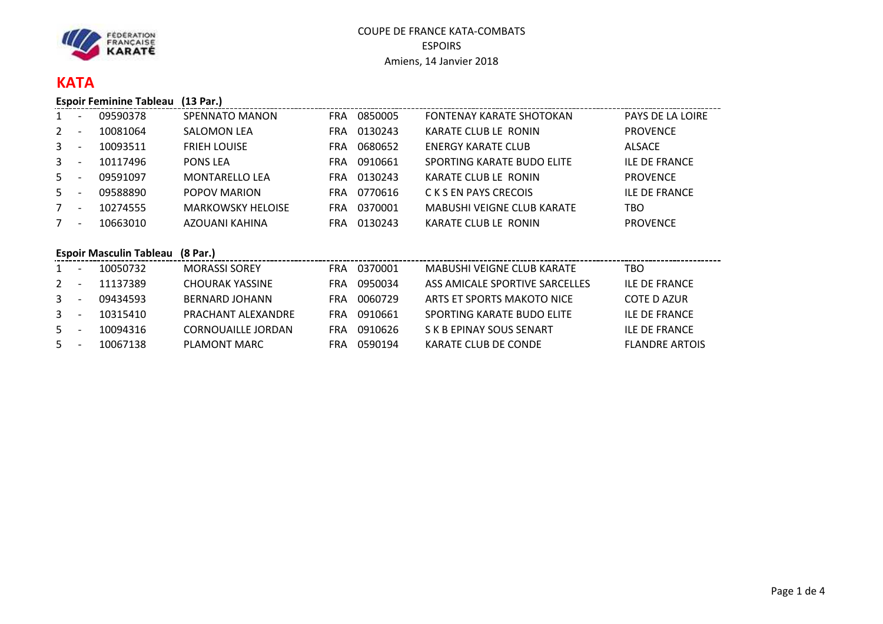

# **KATA**

**Espoir Feminine Tableau (13 Par.)**

| $\mathbf{1}$   | $\overline{\phantom{a}}$ | 09590378 | <b>SPENNATO MANON</b>    | <b>FRA</b> | 0850005 | FONTENAY KARATE SHOTOKAN          | <b>PAYS DE LA LOIRE</b> |
|----------------|--------------------------|----------|--------------------------|------------|---------|-----------------------------------|-------------------------|
| $\overline{2}$ | $\overline{\phantom{a}}$ | 10081064 | <b>SALOMON LEA</b>       | <b>FRA</b> | 0130243 | KARATE CLUB LE RONIN              | <b>PROVENCE</b>         |
| $\mathbf{3}$   | $\overline{\phantom{a}}$ | 10093511 | <b>FRIEH LOUISE</b>      | FRA        | 0680652 | <b>ENERGY KARATE CLUB</b>         | ALSACE                  |
| 3 <sup>1</sup> | $\overline{\phantom{0}}$ | 10117496 | <b>PONS LEA</b>          | <b>FRA</b> | 0910661 | SPORTING KARATE BUDO ELITE        | <b>ILE DE FRANCE</b>    |
| 5              |                          | 09591097 | <b>MONTARELLO LEA</b>    | FRA        | 0130243 | KARATE CLUB LE RONIN              | <b>PROVENCE</b>         |
| $5 -$          |                          | 09588890 | POPOV MARION             | FRA        | 0770616 | C K S EN PAYS CRECOIS             | <b>ILE DE FRANCE</b>    |
| 7              | $\overline{\phantom{a}}$ | 10274555 | <b>MARKOWSKY HELOISE</b> | <b>FRA</b> | 0370001 | <b>MABUSHI VEIGNE CLUB KARATE</b> | TBO                     |
| 7              | $\overline{\phantom{0}}$ | 10663010 | AZOUANI KAHINA           | FRA        | 0130243 | KARATE CLUB LE RONIN              | <b>PROVENCE</b>         |
|                |                          |          |                          |            |         |                                   |                         |

## **Espoir Masculin Tableau (8 Par.)**

| 1            | $\overline{\phantom{a}}$ | 10050732 | <b>MORASSI SOREY</b>      | <b>FRA</b> | 0370001 | MABUSHI VEIGNE CLUB KARATE     | TBO                   |
|--------------|--------------------------|----------|---------------------------|------------|---------|--------------------------------|-----------------------|
| 2            | $\overline{\phantom{a}}$ | 11137389 | <b>CHOURAK YASSINE</b>    | FRA        | 0950034 | ASS AMICALE SPORTIVE SARCELLES | <b>ILF DF FRANCE</b>  |
| $\mathbf{3}$ |                          | 09434593 | BERNARD JOHANN            | FRA        | 0060729 | ARTS ET SPORTS MAKOTO NICE     | COTE D AZUR           |
| $\mathbf{3}$ | $\overline{\phantom{a}}$ | 10315410 | PRACHANT ALEXANDRE        | FRA.       | 0910661 | SPORTING KARATE BUDO ELITE     | <b>ILF DF FRANCE</b>  |
| 5            |                          | 10094316 | <b>CORNOUAILLE JORDAN</b> | FRA        | 0910626 | S K B EPINAY SOUS SENART       | ILE DE FRANCE         |
| 5            |                          | 10067138 | PLAMONT MARC              | FRA        | 0590194 | KARATE CLUB DE CONDE           | <b>FLANDRE ARTOIS</b> |
|              |                          |          |                           |            |         |                                |                       |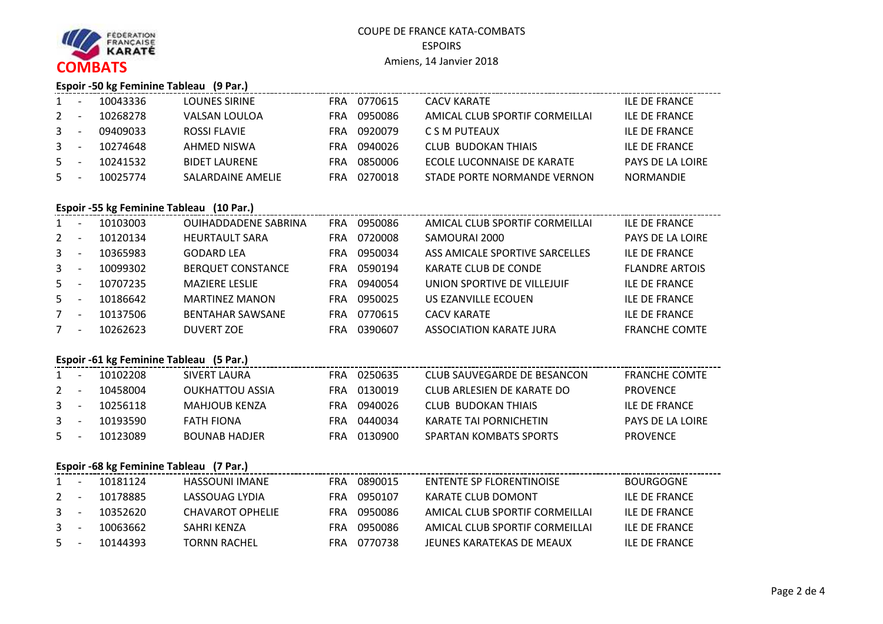

#### **Espoir -50 kg Feminine Tableau (9 Par.)**

| <b>ILE DE FRANCE</b>    |
|-------------------------|
| <b>ILF DE FRANCE</b>    |
| <b>ILE DE FRANCE</b>    |
| <b>ILE DE FRANCE</b>    |
| <b>PAYS DE LA LOIRE</b> |
| <b>NORMANDIF</b>        |
|                         |

# **Espoir -55 kg Feminine Tableau (10 Par.)**

| <b>PAYS DE LA LOIRE</b> |
|-------------------------|
|                         |
| <b>ILE DE FRANCE</b>    |
| <b>FLANDRE ARTOIS</b>   |
| <b>ILF DE FRANCE</b>    |
| ILE DE FRANCE           |
| <b>ILE DE FRANCE</b>    |
| <b>FRANCHE COMTE</b>    |
|                         |

# **Espoir -61 kg Feminine Tableau (5 Par.)**

| 1       |                          | 10102208 | SIVERT LAURA         | FRA | 0250635 | CLUB SAUVEGARDE DE BESANCON | <b>FRANCHE COMTE</b>    |
|---------|--------------------------|----------|----------------------|-----|---------|-----------------------------|-------------------------|
| $2 -$   |                          | 10458004 | OUKHATTOU ASSIA      | FRA | 0130019 | CLUB ARLESIEN DE KARATE DO  | <b>PROVENCE</b>         |
| 3       | $\overline{\phantom{0}}$ | 10256118 | MAHJOUB KENZA        | FRA | 0940026 | CLUB BUDOKAN THIAIS         | ILF DE FRANCE           |
| 3       | $\overline{\phantom{a}}$ | 10193590 | FATH FIONA           | FRA | 0440034 | KARATE TAI PORNICHETIN      | <b>PAYS DE LA LOIRE</b> |
| $5 - -$ |                          | 10123089 | <b>BOUNAB HADJER</b> | FRA | 0130900 | SPARTAN KOMBATS SPORTS      | <b>PROVENCE</b>         |

# **Espoir -68 kg Feminine Tableau (7 Par.)**

| 1            | 10181124 | HASSOUNI IMANE   | FRA  | 0890015 | ENTENTE SP FLORENTINOISE       | <b>BOURGOGNE</b> |
|--------------|----------|------------------|------|---------|--------------------------------|------------------|
| $2 -$        | 10178885 | LASSOUAG LYDIA   | FRA  | 0950107 | KARATE CLUB DOMONT             | ILF DE FRANCE    |
| 3            | 10352620 | CHAVAROT OPHELIE | FRA. | 0950086 | AMICAL CLUB SPORTIF CORMEILLAI | ILF DE FRANCE    |
| $\mathbf{3}$ | 10063662 | SAHRI KENZA      | FRA. | 0950086 | AMICAL CLUB SPORTIF CORMEILLAI | ILF DE FRANCE    |
| $5 - -$      | 10144393 | TORNN RACHEL     | FRA  | 0770738 | JFUNES KARATEKAS DE MEAUX      | ILF DE FRANCE    |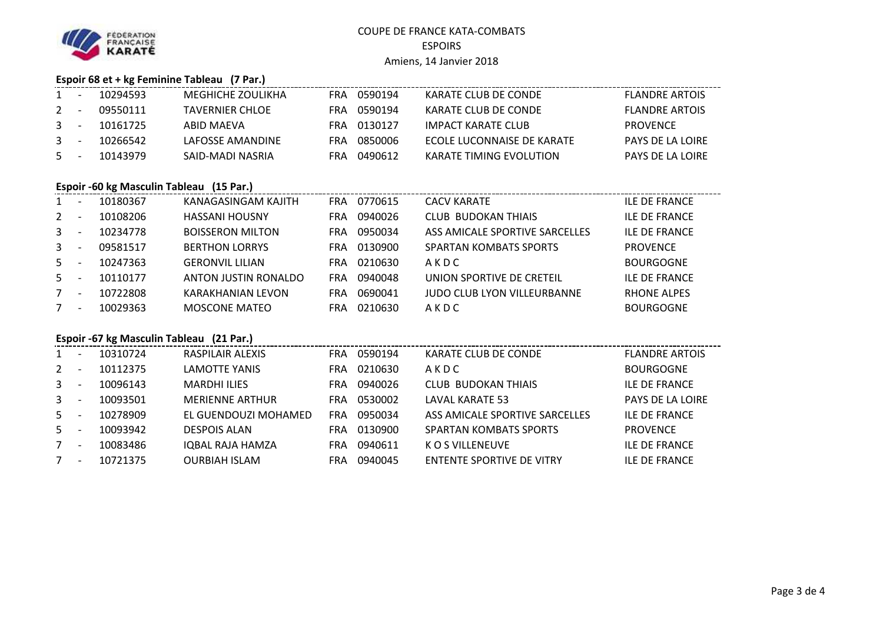

## **Espoir 68 et + kg Feminine Tableau (7 Par.)**

| $1 -$   | 10294593 | MEGHICHE ZOULIKHA | FRA | 0590194     | KARATE CLUB DE CONDE       | <b>FLANDRE ARTOIS</b>   |
|---------|----------|-------------------|-----|-------------|----------------------------|-------------------------|
| $2 - -$ | 09550111 | TAVFRNIFR CHLOF   |     | FRA 0590194 | KARATE CLUB DE CONDE       | <b>FLANDRE ARTOIS</b>   |
| $3 - -$ | 10161725 | ABID MAFVA        |     | FRA 0130127 | IMPACT KARATE CLUB         | <b>PROVENCE</b>         |
| $3 - -$ | 10266542 | LAFOSSF AMANDINF  | FRA | 0850006     | FCOLF LUCONNAISE DE KARATE | <b>PAYS DE LA LOIRE</b> |
| $5 - -$ | 10143979 | SAID-MADI NASRIA  |     | FRA 0490612 | KARATE TIMING EVOLUTION    | <b>PAYS DE LA LOIRE</b> |
|         |          |                   |     |             |                            |                         |

#### **Espoir -60 kg Masculin Tableau (15 Par.)**

| 1              | $\overline{\phantom{a}}$ | 10180367 | KANAGASINGAM KAJITH     | FRA.       | 0770615 | <b>CACV KARATE</b>                 | <b>ILE DE FRANCE</b> |
|----------------|--------------------------|----------|-------------------------|------------|---------|------------------------------------|----------------------|
| $2^{\circ}$    | $\overline{\phantom{a}}$ | 10108206 | <b>HASSANI HOUSNY</b>   | FRA        | 0940026 | <b>CLUB BUDOKAN THIAIS</b>         | <b>ILE DE FRANCE</b> |
| $\mathbf{3}$   | $\overline{\phantom{a}}$ | 10234778 | <b>BOISSERON MILTON</b> | FRA        | 0950034 | ASS AMICALE SPORTIVE SARCELLES     | <b>ILE DE FRANCE</b> |
| 3 <sup>7</sup> | $\overline{\phantom{a}}$ | 09581517 | <b>BERTHON LORRYS</b>   | FRA        | 0130900 | <b>SPARTAN KOMBATS SPORTS</b>      | <b>PROVENCE</b>      |
| $5 -$          | $\overline{\phantom{a}}$ | 10247363 | <b>GERONVIL LILIAN</b>  | <b>FRA</b> | 0210630 | AKDC                               | <b>BOURGOGNE</b>     |
| $5 -$          | $\overline{\phantom{a}}$ | 10110177 | ANTON JUSTIN RONALDO    | <b>FRA</b> | 0940048 | UNION SPORTIVE DE CRETEIL          | <b>ILE DE FRANCE</b> |
| $7^{\circ}$    | $\overline{\phantom{a}}$ | 10722808 | KARAKHANIAN LEVON       | <b>FRA</b> | 0690041 | <b>JUDO CLUB LYON VILLEURBANNE</b> | <b>RHONE ALPES</b>   |
| 7              | $\overline{\phantom{a}}$ | 10029363 | <b>MOSCONE MATEO</b>    | FRA        | 0210630 | AKDC                               | <b>BOURGOGNE</b>     |
|                |                          |          |                         |            |         |                                    |                      |

#### **Espoir -67 kg Masculin Tableau (21 Par.)**

| $1 \quad$      | $\overline{\phantom{0}}$ | 10310724 | RASPILAIR ALEXIS       | FRA | 0590194 | KARATE CLUB DE CONDE           | <b>FLANDRE ARTOIS</b> |
|----------------|--------------------------|----------|------------------------|-----|---------|--------------------------------|-----------------------|
| $2^{\circ}$    | $\overline{\phantom{0}}$ | 10112375 | LAMOTTE YANIS          | FRA | 0210630 | AKDC                           | <b>BOURGOGNE</b>      |
| 3 <sup>1</sup> | $\overline{\phantom{0}}$ | 10096143 | <b>MARDHI ILIES</b>    | FRA | 0940026 | CLUB BUDOKAN THIAIS            | <b>ILE DE FRANCE</b>  |
| $3 -$          | $\overline{\phantom{0}}$ | 10093501 | <b>MERIENNE ARTHUR</b> | FRA | 0530002 | LAVAL KARATE 53                | PAYS DE LA LOIRE      |
| $5 -$          | $\overline{\phantom{0}}$ | 10278909 | EL GUENDOUZI MOHAMED   | FRA | 0950034 | ASS AMICALE SPORTIVE SARCELLES | <b>ILE DE FRANCE</b>  |
| $5 -$          | $\overline{\phantom{a}}$ | 10093942 | <b>DESPOIS ALAN</b>    | FRA | 0130900 | SPARTAN KOMBATS SPORTS         | <b>PROVENCE</b>       |
| 7              | $\overline{\phantom{0}}$ | 10083486 | IQBAL RAJA HAMZA       | FRA | 0940611 | K O S VILLENEUVE               | <b>ILE DE FRANCE</b>  |
| 7              | $\overline{\phantom{0}}$ | 10721375 | <b>OURBIAH ISLAM</b>   | FRA | 0940045 | ENTENTE SPORTIVE DE VITRY      | <b>ILE DE FRANCE</b>  |
|                |                          |          |                        |     |         |                                |                       |